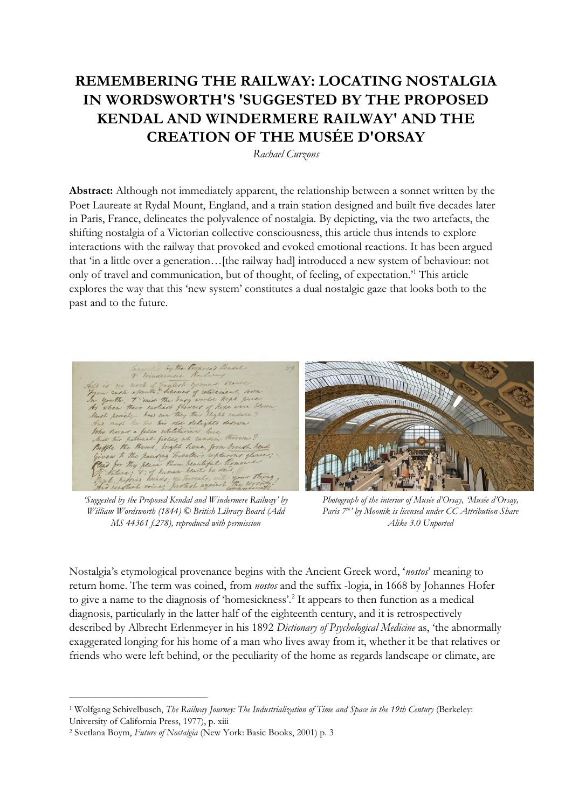# **REMEMBERING THE RAILWAY: LOCATING NOSTALGIA IN WORDSWORTH'S 'SUGGESTED BY THE PROPOSED KENDAL AND WINDERMERE RAILWAY' AND THE CREATION OF THE MUSÉE D'ORSAY**

*Rachael Curzons*

**Abstract:** Although not immediately apparent, the relationship between a sonnet written by the Poet Laureate at Rydal Mount, England, and a train station designed and built five decades later in Paris, France, delineates the polyvalence of nostalgia. By depicting, via the two artefacts, the shifting nostalgia of a Victorian collective consciousness, this article thus intends to explore interactions with the railway that provoked and evoked emotional reactions. It has been argued that 'in a little over a generation…[the railway had] introduced a new system of behaviour: not only of travel and communication, but of thought, of feeling, of expectation.'<sup>1</sup> This article explores the way that this 'new system' constitutes a dual nostalgic gaze that looks both to the past and to the future.

lure Teene, from Groesh hea

*'Suggested by the Proposed Kendal and Windermere Railway' by William Wordsworth (1844) © British Library Board (Add MS 44361 f.278), reproduced with permission*



*Photograph of the interior of Musée d'Orsay, 'Musée [d'Orsay,](http://commons.wikimedia.org/wiki/File:Mus%C3%A9e_d)  [Paris 7](http://commons.wikimedia.org/wiki/File:Mus%C3%A9e_d)th' by Moonik is licensed under [CC Attribution-Share](http://creativecommons.org/licenses/by-sa/3.0/deed.en)  [Alike 3.0 Unported](http://creativecommons.org/licenses/by-sa/3.0/deed.en)*

Nostalgia's etymological provenance begins with the Ancient Greek word, '*nostos*' meaning to return home. The term was coined, from *nostos* and the suffix -logia, in 1668 by Johannes Hofer to give a name to the diagnosis of 'homesickness'.<sup>2</sup> It appears to then function as a medical diagnosis, particularly in the latter half of the eighteenth century, and it is retrospectively described by Albrecht Erlenmeyer in his 1892 *Dictionary of Psychological Medicine* as, 'the abnormally exaggerated longing for his home of a man who lives away from it, whether it be that relatives or friends who were left behind, or the peculiarity of the home as regards landscape or climate, are

<sup>-</sup><sup>1</sup> Wolfgang Schivelbusch, *The Railway Journey: The Industrialization of Time and Space in the 19th Century* (Berkeley:

University of California Press, 1977), p. xiii

<sup>2</sup> Svetlana Boym, *Future of Nostalgia* (New York: Basic Books, 2001) p. 3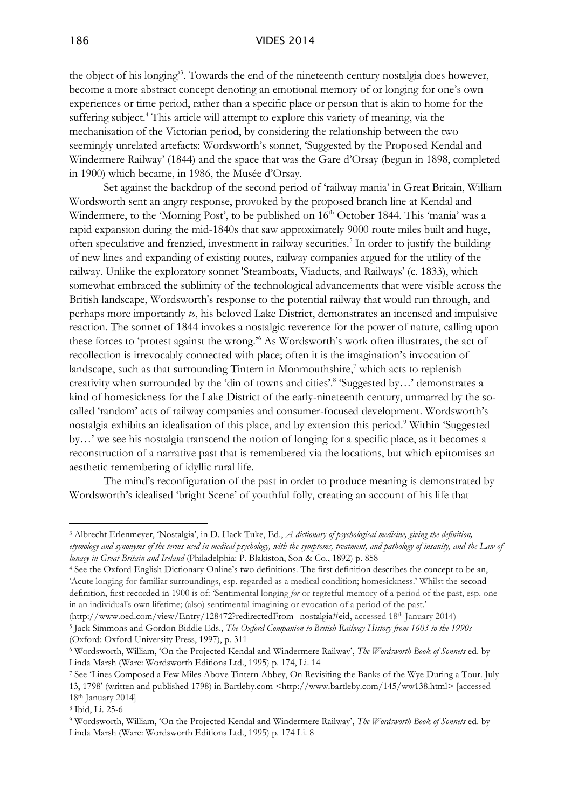the object of his longing<sup>33</sup>. Towards the end of the nineteenth century nostalgia does however, become a more abstract concept denoting an emotional memory of or longing for one's own experiences or time period, rather than a specific place or person that is akin to home for the suffering subject.<sup>4</sup> This article will attempt to explore this variety of meaning, via the mechanisation of the Victorian period, by considering the relationship between the two seemingly unrelated artefacts: Wordsworth's sonnet, 'Suggested by the Proposed Kendal and Windermere Railway' (1844) and the space that was the Gare d'Orsay (begun in 1898, completed in 1900) which became, in 1986, the Musée d'Orsay.

Set against the backdrop of the second period of 'railway mania' in Great Britain, William Wordsworth sent an angry response, provoked by the proposed branch line at Kendal and Windermere, to the 'Morning Post', to be published on 16<sup>th</sup> October 1844. This 'mania' was a rapid expansion during the mid-1840s that saw approximately 9000 route miles built and huge, often speculative and frenzied, investment in railway securities.<sup>5</sup> In order to justify the building of new lines and expanding of existing routes, railway companies argued for the utility of the railway. Unlike the exploratory sonnet 'Steamboats, Viaducts, and Railways' (c. 1833), which somewhat embraced the sublimity of the technological advancements that were visible across the British landscape, Wordsworth's response to the potential railway that would run through, and perhaps more importantly *to*, his beloved Lake District, demonstrates an incensed and impulsive reaction. The sonnet of 1844 invokes a nostalgic reverence for the power of nature, calling upon these forces to 'protest against the wrong.'<sup>6</sup> As Wordsworth's work often illustrates, the act of recollection is irrevocably connected with place; often it is the imagination's invocation of landscape, such as that surrounding Tintern in Monmouthshire, $\frac{7}{1}$  which acts to replenish creativity when surrounded by the 'din of towns and cities'.<sup>8</sup> 'Suggested by...' demonstrates a kind of homesickness for the Lake District of the early-nineteenth century, unmarred by the socalled 'random' acts of railway companies and consumer-focused development. Wordsworth's nostalgia exhibits an idealisation of this place, and by extension this period.<sup>9</sup> Within 'Suggested by…' we see his nostalgia transcend the notion of longing for a specific place, as it becomes a reconstruction of a narrative past that is remembered via the locations, but which epitomises an aesthetic remembering of idyllic rural life.

The mind's reconfiguration of the past in order to produce meaning is demonstrated by Wordsworth's idealised 'bright Scene' of youthful folly, creating an account of his life that

<sup>3</sup> Albrecht Erlenmeyer, 'Nostalgia', in D. Hack Tuke, Ed., *A dictionary of psychological medicine, giving the definition, etymology and synonyms of the terms used in medical psychology, with the symptoms, treatment, and pathology of insanity, and the Law of lunacy in Great Britain and Ireland* (Philadelphia: P. Blakiston, Son & Co., 1892) p. 858

<sup>4</sup> See the Oxford English Dictionary Online's two definitions. The first definition describes the concept to be an, 'Acute longing for familiar surroundings, esp. regarded as a medical condition; homesickness.' Whilst the second definition, first recorded in 1900 is of: 'Sentimental longing *for* or regretful memory of a period of the past, esp. one in an individual's own lifetime; (also) sentimental imagining or evocation of a period of the past.'

<sup>(</sup>http://www.oed.com/view/Entry/128472?redirectedFrom=nostalgia#eid, accessed 18th January 2014) 5 Jack Simmons and Gordon Biddle Eds., *The Oxford Companion to British Railway History from 1603 to the 1990s* (Oxford: Oxford University Press, 1997), p. 311

<sup>6</sup> Wordsworth, William, 'On the Projected Kendal and Windermere Railway', *The Wordsworth Book of Sonnets* ed. by Linda Marsh (Ware: Wordsworth Editions Ltd., 1995) p. 174, Li. 14

<sup>7</sup> See 'Lines Composed a Few Miles Above Tintern Abbey, On Revisiting the Banks of the Wye During a Tour. July 13, 1798' (written and published 1798) in Bartleby.com <http://www.bartleby.com/145/ww138.html> [accessed 18th January 2014]

<sup>8</sup> Ibid, Li. 25-6

<sup>9</sup> Wordsworth, William, 'On the Projected Kendal and Windermere Railway', *The Wordsworth Book of Sonnets* ed. by Linda Marsh (Ware: Wordsworth Editions Ltd., 1995) p. 174 Li. 8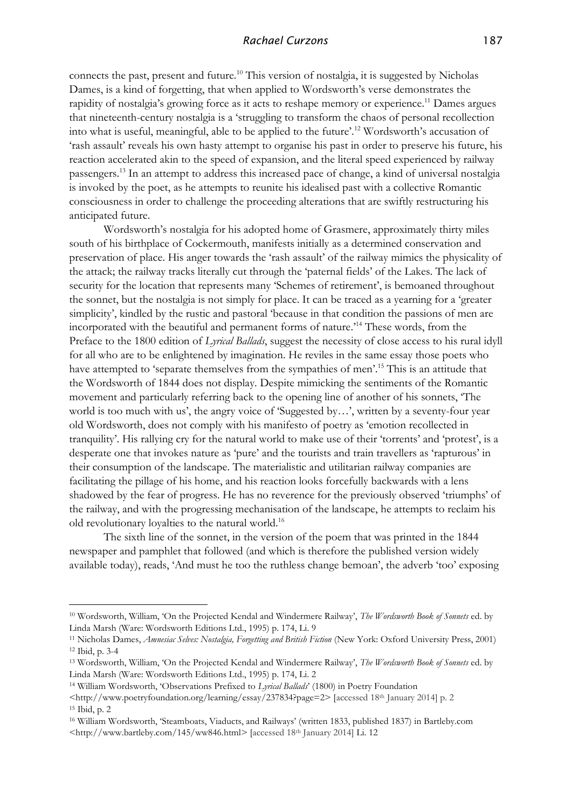connects the past, present and future.<sup>10</sup> This version of nostalgia, it is suggested by Nicholas Dames, is a kind of forgetting, that when applied to Wordsworth's verse demonstrates the rapidity of nostalgia's growing force as it acts to reshape memory or experience.<sup>11</sup> Dames argues that nineteenth-century nostalgia is a 'struggling to transform the chaos of personal recollection into what is useful, meaningful, able to be applied to the future'.<sup>12</sup> Wordsworth's accusation of 'rash assault' reveals his own hasty attempt to organise his past in order to preserve his future, his reaction accelerated akin to the speed of expansion, and the literal speed experienced by railway passengers.<sup>13</sup> In an attempt to address this increased pace of change, a kind of universal nostalgia is invoked by the poet, as he attempts to reunite his idealised past with a collective Romantic consciousness in order to challenge the proceeding alterations that are swiftly restructuring his anticipated future.

Wordsworth's nostalgia for his adopted home of Grasmere, approximately thirty miles south of his birthplace of Cockermouth, manifests initially as a determined conservation and preservation of place. His anger towards the 'rash assault' of the railway mimics the physicality of the attack; the railway tracks literally cut through the 'paternal fields' of the Lakes. The lack of security for the location that represents many 'Schemes of retirement', is bemoaned throughout the sonnet, but the nostalgia is not simply for place. It can be traced as a yearning for a 'greater simplicity', kindled by the rustic and pastoral 'because in that condition the passions of men are incorporated with the beautiful and permanent forms of nature.'<sup>14</sup> These words, from the Preface to the 1800 edition of *Lyrical Ballads*, suggest the necessity of close access to his rural idyll for all who are to be enlightened by imagination. He reviles in the same essay those poets who have attempted to 'separate themselves from the sympathies of men'.<sup>15</sup> This is an attitude that the Wordsworth of 1844 does not display. Despite mimicking the sentiments of the Romantic movement and particularly referring back to the opening line of another of his sonnets, 'The world is too much with us', the angry voice of 'Suggested by…', written by a seventy-four year old Wordsworth, does not comply with his manifesto of poetry as 'emotion recollected in tranquility'. His rallying cry for the natural world to make use of their 'torrents' and 'protest', is a desperate one that invokes nature as 'pure' and the tourists and train travellers as 'rapturous' in their consumption of the landscape. The materialistic and utilitarian railway companies are facilitating the pillage of his home, and his reaction looks forcefully backwards with a lens shadowed by the fear of progress. He has no reverence for the previously observed 'triumphs' of the railway, and with the progressing mechanisation of the landscape, he attempts to reclaim his old revolutionary loyalties to the natural world.<sup>16</sup>

The sixth line of the sonnet, in the version of the poem that was printed in the 1844 newspaper and pamphlet that followed (and which is therefore the published version widely available today), reads, 'And must he too the ruthless change bemoan', the adverb 'too' exposing

<sup>14</sup> William Wordsworth, 'Observations Prefixed to *Lyrical Ballads*' (1800) in Poetry Foundation

<sup>10</sup> Wordsworth, William, 'On the Projected Kendal and Windermere Railway', *The Wordsworth Book of Sonnets* ed. by Linda Marsh (Ware: Wordsworth Editions Ltd., 1995) p. 174, Li. 9

<sup>11</sup> Nicholas Dames, *Amnesiac Selves: Nostalgia, Forgetting and British Fiction* (New York: Oxford University Press, 2001) <sup>12</sup> Ibid, p. 3-4

<sup>13</sup> Wordsworth, William, 'On the Projected Kendal and Windermere Railway', *The Wordsworth Book of Sonnets* ed. by Linda Marsh (Ware: Wordsworth Editions Ltd., 1995) p. 174, Li. 2

<sup>&</sup>lt;http://www.poetryfoundation.org/learning/essay/237834?page=2> [accessed 18th January 2014] p. 2 <sup>15</sup> Ibid, p. 2

<sup>16</sup> William Wordsworth, 'Steamboats, Viaducts, and Railways' (written 1833, published 1837) in Bartleby.com <http://www.bartleby.com/145/ww846.html> [accessed 18th January 2014] Li. 12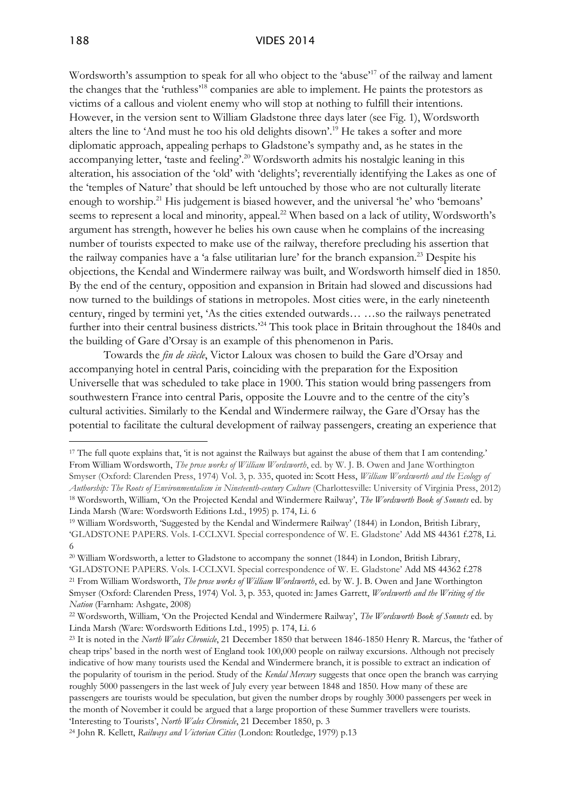#### 188 VIDES 2014

Wordsworth's assumption to speak for all who object to the 'abuse'<sup>17</sup> of the railway and lament the changes that the 'ruthless'<sup>18</sup> companies are able to implement. He paints the protestors as victims of a callous and violent enemy who will stop at nothing to fulfill their intentions. However, in the version sent to William Gladstone three days later (see Fig. 1), Wordsworth alters the line to 'And must he too his old delights disown'. <sup>19</sup> He takes a softer and more diplomatic approach, appealing perhaps to Gladstone's sympathy and, as he states in the accompanying letter, 'taste and feeling'.<sup>20</sup> Wordsworth admits his nostalgic leaning in this alteration, his association of the 'old' with 'delights'; reverentially identifying the Lakes as one of the 'temples of Nature' that should be left untouched by those who are not culturally literate enough to worship.<sup>21</sup> His judgement is biased however, and the universal 'he' who 'bemoans' seems to represent a local and minority, appeal.<sup>22</sup> When based on a lack of utility, Wordsworth's argument has strength, however he belies his own cause when he complains of the increasing number of tourists expected to make use of the railway, therefore precluding his assertion that the railway companies have a 'a false utilitarian lure' for the branch expansion.<sup>23</sup> Despite his objections, the Kendal and Windermere railway was built, and Wordsworth himself died in 1850. By the end of the century, opposition and expansion in Britain had slowed and discussions had now turned to the buildings of stations in metropoles. Most cities were, in the early nineteenth century, ringed by termini yet, 'As the cities extended outwards… …so the railways penetrated further into their central business districts.<sup>24</sup> This took place in Britain throughout the 1840s and the building of Gare d'Orsay is an example of this phenomenon in Paris.

Towards the *fin de siècle*, Victor Laloux was chosen to build the Gare d'Orsay and accompanying hotel in central Paris, coinciding with the preparation for the Exposition Universelle that was scheduled to take place in 1900. This station would bring passengers from southwestern France into central Paris, opposite the Louvre and to the centre of the city's cultural activities. Similarly to the Kendal and Windermere railway, the Gare d'Orsay has the potential to facilitate the cultural development of railway passengers, creating an experience that

<sup>&</sup>lt;sup>17</sup> The full quote explains that, 'it is not against the Railways but against the abuse of them that I am contending.' From William Wordsworth, *The prose works of William Wordsworth*, ed. by W. J. B. Owen and Jane Worthington Smyser (Oxford: Clarenden Press, 1974) Vol. 3, p. 335, quoted in: Scott Hess, *William Wordsworth and the Ecology of Authorship: The Roots of Environmentalism in Nineteenth-century Culture* (Charlottesville: University of Virginia Press, 2012) <sup>18</sup> Wordsworth, William, 'On the Projected Kendal and Windermere Railway', *The Wordsworth Book of Sonnets* ed. by Linda Marsh (Ware: Wordsworth Editions Ltd., 1995) p. 174, Li. 6

<sup>19</sup> William Wordsworth, 'Suggested by the Kendal and Windermere Railway' (1844) in London, British Library, 'GLADSTONE PAPERS. Vols. I-CCLXVI. Special correspondence of W. E. Gladstone' Add MS 44361 f.278, Li. 6

<sup>20</sup> William Wordsworth, a letter to Gladstone to accompany the sonnet (1844) in London, British Library, 'GLADSTONE PAPERS. Vols. I-CCLXVI. Special correspondence of W. E. Gladstone' Add MS 44362 f.278 <sup>21</sup> From William Wordsworth, *The prose works of William Wordsworth*, ed. by W. J. B. Owen and Jane Worthington Smyser (Oxford: Clarenden Press, 1974) Vol. 3, p. 353, quoted in: James Garrett, *Wordsworth and the Writing of the Nation* (Farnham: Ashgate, 2008)

<sup>22</sup> Wordsworth, William, 'On the Projected Kendal and Windermere Railway', *The Wordsworth Book of Sonnets* ed. by Linda Marsh (Ware: Wordsworth Editions Ltd., 1995) p. 174, Li. 6

<sup>23</sup> It is noted in the *North Wales Chronicle*, 21 December 1850 that between 1846-1850 Henry R. Marcus, the 'father of cheap trips' based in the north west of England took 100,000 people on railway excursions. Although not precisely indicative of how many tourists used the Kendal and Windermere branch, it is possible to extract an indication of the popularity of tourism in the period. Study of the *Kendal Mercury* suggests that once open the branch was carrying roughly 5000 passengers in the last week of July every year between 1848 and 1850. How many of these are passengers are tourists would be speculation, but given the number drops by roughly 3000 passengers per week in the month of November it could be argued that a large proportion of these Summer travellers were tourists. 'Interesting to Tourists', *North Wales Chronicle*, 21 December 1850, p. 3

<sup>24</sup> John R. Kellett, *Railways and Victorian Cities* (London: Routledge, 1979) p.13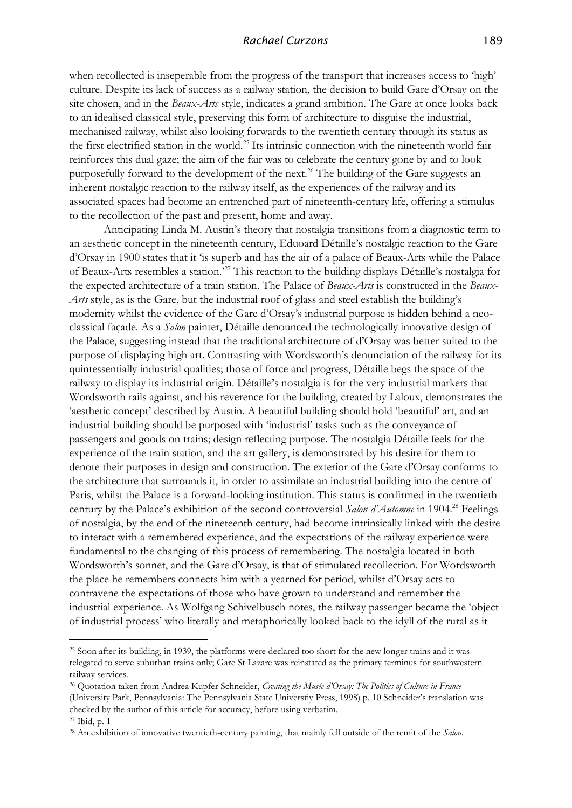when recollected is inseperable from the progress of the transport that increases access to 'high' culture. Despite its lack of success as a railway station, the decision to build Gare d'Orsay on the site chosen, and in the *Beaux-Arts* style, indicates a grand ambition. The Gare at once looks back to an idealised classical style, preserving this form of architecture to disguise the industrial, mechanised railway, whilst also looking forwards to the twentieth century through its status as the first electrified station in the world.<sup>25</sup> Its intrinsic connection with the nineteenth world fair reinforces this dual gaze; the aim of the fair was to celebrate the century gone by and to look purposefully forward to the development of the next.<sup>26</sup> The building of the Gare suggests an inherent nostalgic reaction to the railway itself, as the experiences of the railway and its associated spaces had become an entrenched part of nineteenth-century life, offering a stimulus to the recollection of the past and present, home and away.

Anticipating Linda M. Austin's theory that nostalgia transitions from a diagnostic term to an aesthetic concept in the nineteenth century, Eduoard Détaille's nostalgic reaction to the Gare d'Orsay in 1900 states that it 'is superb and has the air of a palace of Beaux-Arts while the Palace of Beaux-Arts resembles a station.'<sup>27</sup> This reaction to the building displays Détaille's nostalgia for the expected architecture of a train station. The Palace of *Beaux-Arts* is constructed in the *Beaux-Arts* style, as is the Gare, but the industrial roof of glass and steel establish the building's modernity whilst the evidence of the Gare d'Orsay's industrial purpose is hidden behind a neoclassical façade. As a *Salon* painter, Détaille denounced the technologically innovative design of the Palace, suggesting instead that the traditional architecture of d'Orsay was better suited to the purpose of displaying high art. Contrasting with Wordsworth's denunciation of the railway for its quintessentially industrial qualities; those of force and progress, Détaille begs the space of the railway to display its industrial origin. Détaille's nostalgia is for the very industrial markers that Wordsworth rails against, and his reverence for the building, created by Laloux, demonstrates the 'aesthetic concept' described by Austin. A beautiful building should hold 'beautiful' art, and an industrial building should be purposed with 'industrial' tasks such as the conveyance of passengers and goods on trains; design reflecting purpose. The nostalgia Détaille feels for the experience of the train station, and the art gallery, is demonstrated by his desire for them to denote their purposes in design and construction. The exterior of the Gare d'Orsay conforms to the architecture that surrounds it, in order to assimilate an industrial building into the centre of Paris, whilst the Palace is a forward-looking institution. This status is confirmed in the twentieth century by the Palace's exhibition of the second controversial *Salon d'Automne* in 1904.<sup>28</sup> Feelings of nostalgia, by the end of the nineteenth century, had become intrinsically linked with the desire to interact with a remembered experience, and the expectations of the railway experience were fundamental to the changing of this process of remembering. The nostalgia located in both Wordsworth's sonnet, and the Gare d'Orsay, is that of stimulated recollection. For Wordsworth the place he remembers connects him with a yearned for period, whilst d'Orsay acts to contravene the expectations of those who have grown to understand and remember the industrial experience. As Wolfgang Schivelbusch notes, the railway passenger became the 'object of industrial process' who literally and metaphorically looked back to the idyll of the rural as it

<sup>25</sup> Soon after its building, in 1939, the platforms were declared too short for the new longer trains and it was relegated to serve suburban trains only; Gare St Lazare was reinstated as the primary terminus for southwestern railway services.

<sup>26</sup> Quotation taken from Andrea Kupfer Schneider, *Creating the Musée d'Orsay: The Politics of Culture in France* (University Park, Pennsylvania: The Pennsylvania State Universtiy Press, 1998) p. 10 Schneider's translation was checked by the author of this article for accuracy, before using verbatim. <sup>27</sup> Ibid, p. 1

<sup>28</sup> An exhibition of innovative twentieth-century painting, that mainly fell outside of the remit of the *Salon*.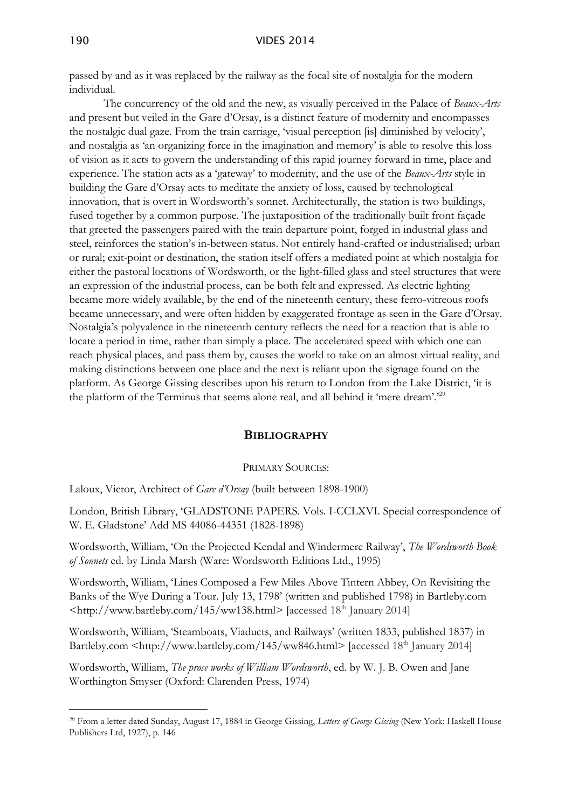passed by and as it was replaced by the railway as the focal site of nostalgia for the modern individual.

The concurrency of the old and the new, as visually perceived in the Palace of *Beaux-Arts* and present but veiled in the Gare d'Orsay, is a distinct feature of modernity and encompasses the nostalgic dual gaze. From the train carriage, 'visual perception [is] diminished by velocity', and nostalgia as 'an organizing force in the imagination and memory' is able to resolve this loss of vision as it acts to govern the understanding of this rapid journey forward in time, place and experience. The station acts as a 'gateway' to modernity, and the use of the *Beaux-Arts* style in building the Gare d'Orsay acts to meditate the anxiety of loss, caused by technological innovation, that is overt in Wordsworth's sonnet. Architecturally, the station is two buildings, fused together by a common purpose. The juxtaposition of the traditionally built front façade that greeted the passengers paired with the train departure point, forged in industrial glass and steel, reinforces the station's in-between status. Not entirely hand-crafted or industrialised; urban or rural; exit-point or destination, the station itself offers a mediated point at which nostalgia for either the pastoral locations of Wordsworth, or the light-filled glass and steel structures that were an expression of the industrial process, can be both felt and expressed. As electric lighting became more widely available, by the end of the nineteenth century, these ferro-vitreous roofs became unnecessary, and were often hidden by exaggerated frontage as seen in the Gare d'Orsay. Nostalgia's polyvalence in the nineteenth century reflects the need for a reaction that is able to locate a period in time, rather than simply a place. The accelerated speed with which one can reach physical places, and pass them by, causes the world to take on an almost virtual reality, and making distinctions between one place and the next is reliant upon the signage found on the platform. As George Gissing describes upon his return to London from the Lake District, 'it is the platform of the Terminus that seems alone real, and all behind it 'mere dream'.'<sup>29</sup>

## **BIBLIOGRAPHY**

#### PRIMARY SOURCES:

Laloux, Victor, Architect of *Gare d'Orsay* (built between 1898-1900)

London, British Library, 'GLADSTONE PAPERS. Vols. I-CCLXVI. Special correspondence of W. E. Gladstone' Add MS 44086-44351 (1828-1898)

Wordsworth, William, 'On the Projected Kendal and Windermere Railway', *The Wordsworth Book of Sonnets* ed. by Linda Marsh (Ware: Wordsworth Editions Ltd., 1995)

Wordsworth, William, 'Lines Composed a Few Miles Above Tintern Abbey, On Revisiting the Banks of the Wye During a Tour. July 13, 1798' (written and published 1798) in Bartleby.com [<http://www.bartleby.com/145/ww138.html>](http://www.bartleby.com/145/ww138.html) [accessed 18th January 2014]

Wordsworth, William, 'Steamboats, Viaducts, and Railways' (written 1833, published 1837) in Bartleby.com [<http://www.bartleby.com/145/ww846.html>](http://www.bartleby.com/145/ww846.html) [accessed 18<sup>th</sup> January 2014]

Wordsworth, William, *The prose works of William Wordsworth*, ed. by W. J. B. Owen and Jane Worthington Smyser (Oxford: Clarenden Press, 1974)

<sup>29</sup> From a letter dated Sunday, August 17, 1884 in George Gissing, *Letters of George Gissing* (New York: Haskell House Publishers Ltd, 1927), p. 146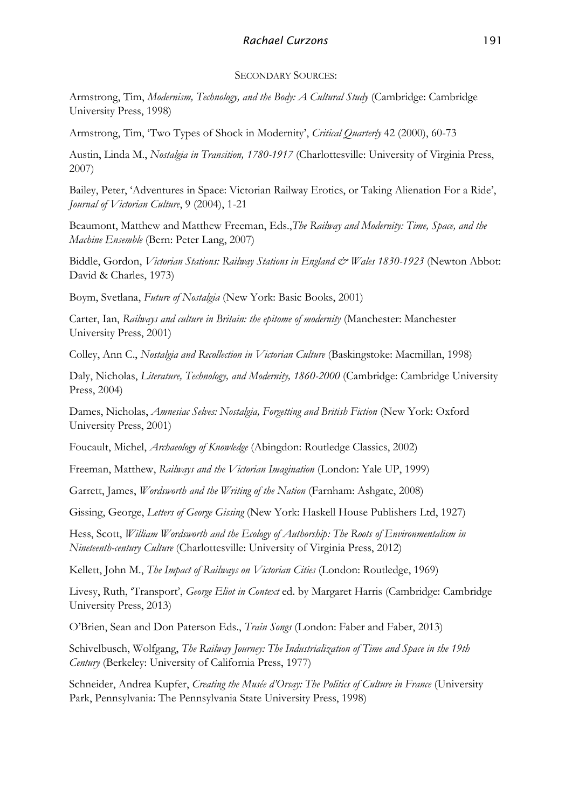## SECONDARY SOURCES:

Armstrong, Tim, *Modernism, Technology, and the Body: A Cultural Study* (Cambridge: Cambridge University Press, 1998)

Armstrong, Tim, 'Two Types of Shock in Modernity', *Critical Quarterly* 42 (2000), 60-73

Austin, Linda M., *Nostalgia in Transition, 1780-1917* (Charlottesville: University of Virginia Press, 2007)

Bailey, Peter, 'Adventures in Space: Victorian Railway Erotics, or Taking Alienation For a Ride', *Journal of Victorian Culture*, 9 (2004), 1-21

Beaumont, Matthew and Matthew Freeman, Eds.,*The Railway and Modernity: Time, Space, and the Machine Ensemble* (Bern: Peter Lang, 2007)

Biddle, Gordon, *Victorian Stations: Railway Stations in England & Wales 1830-1923* (Newton Abbot: David & Charles, 1973)

Boym, Svetlana, *Future of Nostalgia* (New York: Basic Books, 2001)

Carter, Ian, *Railways and culture in Britain: the epitome of modernity* (Manchester: Manchester University Press, 2001)

Colley, Ann C., *Nostalgia and Recollection in Victorian Culture* (Baskingstoke: Macmillan, 1998)

Daly, Nicholas, *Literature, Technology, and Modernity, 1860-2000* (Cambridge: Cambridge University Press, 2004)

Dames, Nicholas, *Amnesiac Selves: Nostalgia, Forgetting and British Fiction* (New York: Oxford University Press, 2001)

Foucault, Michel, *Archaeology of Knowledge* (Abingdon: Routledge Classics, 2002)

Freeman, Matthew, *Railways and the Victorian Imagination* (London: Yale UP, 1999)

Garrett, James, *Wordsworth and the Writing of the Nation* (Farnham: Ashgate, 2008)

Gissing, George, *Letters of George Gissing* (New York: Haskell House Publishers Ltd, 1927)

Hess, Scott, *William Wordsworth and the Ecology of Authorship: The Roots of Environmentalism in Nineteenth-century Culture* (Charlottesville: University of Virginia Press, 2012)

Kellett, John M., *The Impact of Railways on Victorian Cities* (London: Routledge, 1969)

Livesy, Ruth, 'Transport', *George Eliot in Context* ed. by Margaret Harris (Cambridge: Cambridge University Press, 2013)

O'Brien, Sean and Don Paterson Eds., *Train Songs* (London: Faber and Faber, 2013)

Schivelbusch, Wolfgang, *The Railway Journey: The Industrialization of Time and Space in the 19th Century* (Berkeley: University of California Press, 1977)

Schneider, Andrea Kupfer, *Creating the Musée d'Orsay: The Politics of Culture in France* (University Park, Pennsylvania: The Pennsylvania State University Press, 1998)